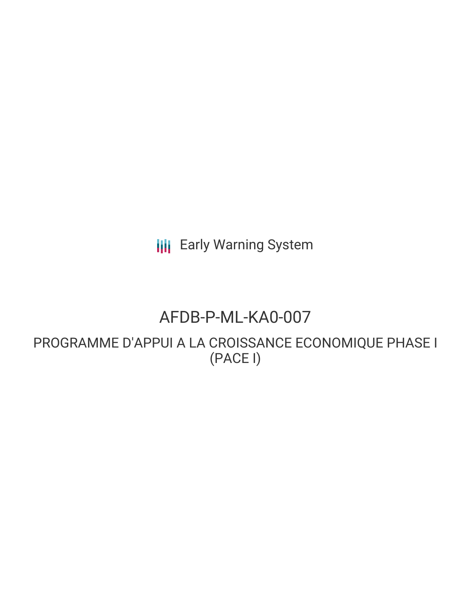**III** Early Warning System

# AFDB-P-ML-KA0-007

PROGRAMME D'APPUI A LA CROISSANCE ECONOMIQUE PHASE I (PACE I)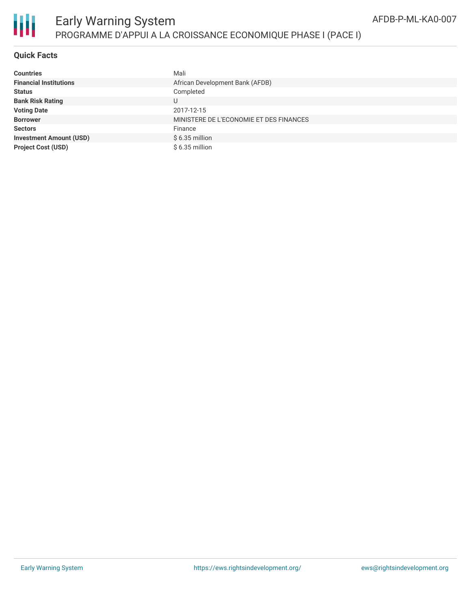

## **Quick Facts**

| <b>Countries</b>               | Mali                                    |
|--------------------------------|-----------------------------------------|
| <b>Financial Institutions</b>  | African Development Bank (AFDB)         |
| <b>Status</b>                  | Completed                               |
| <b>Bank Risk Rating</b>        | U                                       |
| <b>Voting Date</b>             | 2017-12-15                              |
| <b>Borrower</b>                | MINISTERE DE L'ECONOMIE ET DES FINANCES |
| <b>Sectors</b>                 | Finance                                 |
| <b>Investment Amount (USD)</b> | $$6.35$ million                         |
| <b>Project Cost (USD)</b>      | $$6.35$ million                         |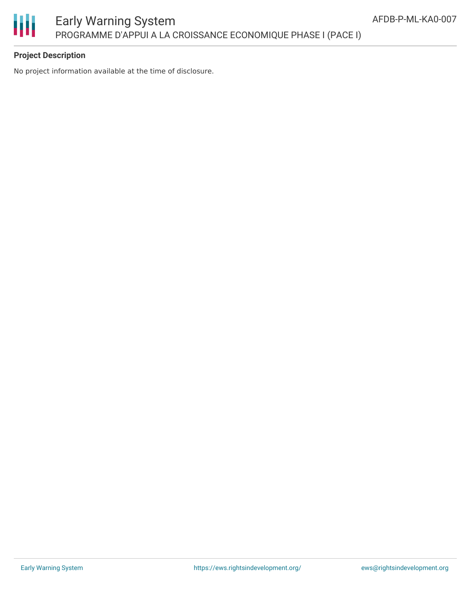

# **Project Description**

No project information available at the time of disclosure.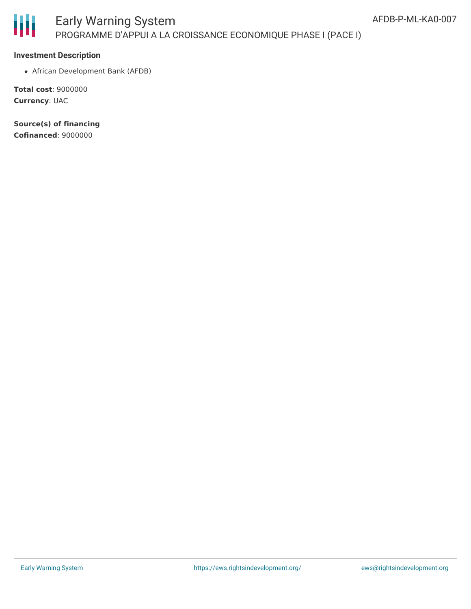

#### **Investment Description**

African Development Bank (AFDB)

**Total cost**: 9000000 **Currency**: UAC

**Source(s) of financing Cofinanced**: 9000000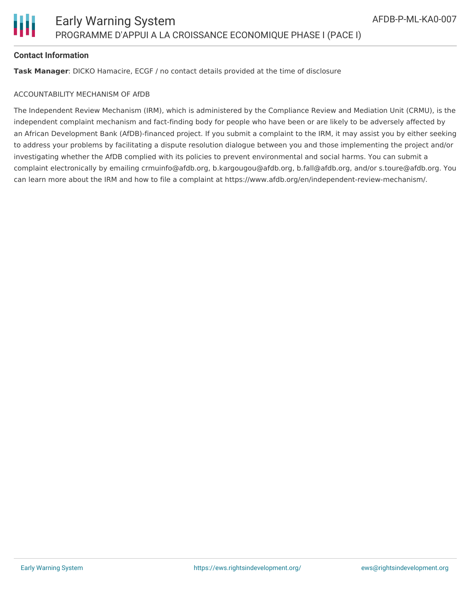

#### **Contact Information**

**Task Manager**: DICKO Hamacire, ECGF / no contact details provided at the time of disclosure

#### ACCOUNTABILITY MECHANISM OF AfDB

The Independent Review Mechanism (IRM), which is administered by the Compliance Review and Mediation Unit (CRMU), is the independent complaint mechanism and fact-finding body for people who have been or are likely to be adversely affected by an African Development Bank (AfDB)-financed project. If you submit a complaint to the IRM, it may assist you by either seeking to address your problems by facilitating a dispute resolution dialogue between you and those implementing the project and/or investigating whether the AfDB complied with its policies to prevent environmental and social harms. You can submit a complaint electronically by emailing crmuinfo@afdb.org, b.kargougou@afdb.org, b.fall@afdb.org, and/or s.toure@afdb.org. You can learn more about the IRM and how to file a complaint at https://www.afdb.org/en/independent-review-mechanism/.